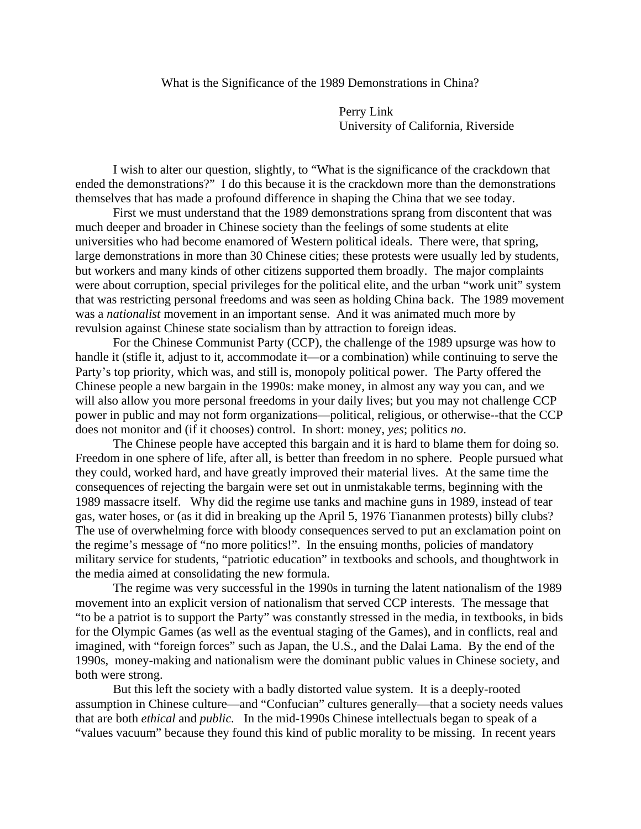## What is the Significance of the 1989 Demonstrations in China?

 Perry Link University of California, Riverside

 I wish to alter our question, slightly, to "What is the significance of the crackdown that ended the demonstrations?" I do this because it is the crackdown more than the demonstrations themselves that has made a profound difference in shaping the China that we see today.

 First we must understand that the 1989 demonstrations sprang from discontent that was much deeper and broader in Chinese society than the feelings of some students at elite universities who had become enamored of Western political ideals. There were, that spring, large demonstrations in more than 30 Chinese cities; these protests were usually led by students, but workers and many kinds of other citizens supported them broadly. The major complaints were about corruption, special privileges for the political elite, and the urban "work unit" system that was restricting personal freedoms and was seen as holding China back. The 1989 movement was a *nationalist* movement in an important sense. And it was animated much more by revulsion against Chinese state socialism than by attraction to foreign ideas.

 For the Chinese Communist Party (CCP), the challenge of the 1989 upsurge was how to handle it (stifle it, adjust to it, accommodate it—or a combination) while continuing to serve the Party's top priority, which was, and still is, monopoly political power. The Party offered the Chinese people a new bargain in the 1990s: make money, in almost any way you can, and we will also allow you more personal freedoms in your daily lives; but you may not challenge CCP power in public and may not form organizations—political, religious, or otherwise--that the CCP does not monitor and (if it chooses) control. In short: money, *yes*; politics *no*.

 The Chinese people have accepted this bargain and it is hard to blame them for doing so. Freedom in one sphere of life, after all, is better than freedom in no sphere. People pursued what they could, worked hard, and have greatly improved their material lives. At the same time the consequences of rejecting the bargain were set out in unmistakable terms, beginning with the 1989 massacre itself. Why did the regime use tanks and machine guns in 1989, instead of tear gas, water hoses, or (as it did in breaking up the April 5, 1976 Tiananmen protests) billy clubs? The use of overwhelming force with bloody consequences served to put an exclamation point on the regime's message of "no more politics!". In the ensuing months, policies of mandatory military service for students, "patriotic education" in textbooks and schools, and thoughtwork in the media aimed at consolidating the new formula.

 The regime was very successful in the 1990s in turning the latent nationalism of the 1989 movement into an explicit version of nationalism that served CCP interests. The message that "to be a patriot is to support the Party" was constantly stressed in the media, in textbooks, in bids for the Olympic Games (as well as the eventual staging of the Games), and in conflicts, real and imagined, with "foreign forces" such as Japan, the U.S., and the Dalai Lama. By the end of the 1990s, money-making and nationalism were the dominant public values in Chinese society, and both were strong.

 But this left the society with a badly distorted value system. It is a deeply-rooted assumption in Chinese culture—and "Confucian" cultures generally—that a society needs values that are both *ethical* and *public.* In the mid-1990s Chinese intellectuals began to speak of a "values vacuum" because they found this kind of public morality to be missing. In recent years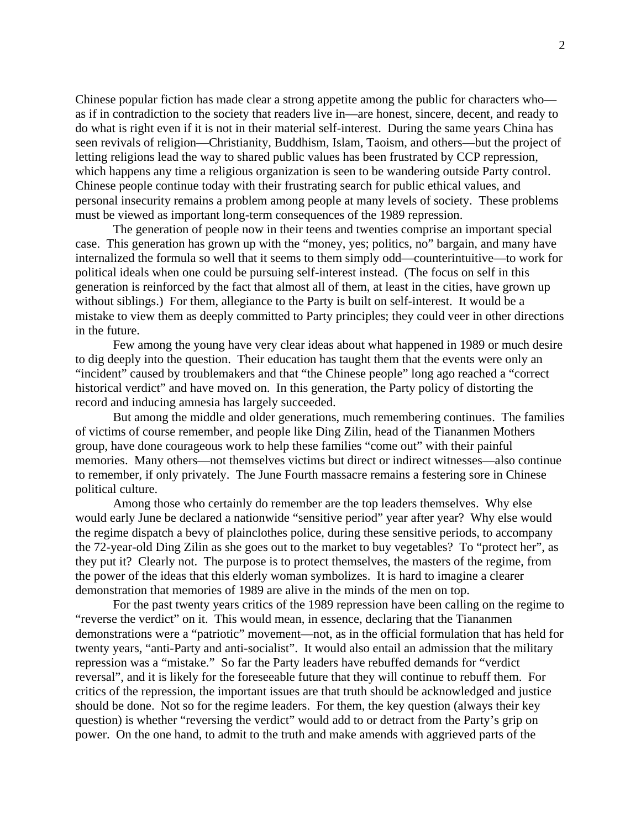Chinese popular fiction has made clear a strong appetite among the public for characters who as if in contradiction to the society that readers live in—are honest, sincere, decent, and ready to do what is right even if it is not in their material self-interest. During the same years China has seen revivals of religion—Christianity, Buddhism, Islam, Taoism, and others—but the project of letting religions lead the way to shared public values has been frustrated by CCP repression, which happens any time a religious organization is seen to be wandering outside Party control. Chinese people continue today with their frustrating search for public ethical values, and personal insecurity remains a problem among people at many levels of society. These problems must be viewed as important long-term consequences of the 1989 repression.

 The generation of people now in their teens and twenties comprise an important special case. This generation has grown up with the "money, yes; politics, no" bargain, and many have internalized the formula so well that it seems to them simply odd—counterintuitive—to work for political ideals when one could be pursuing self-interest instead. (The focus on self in this generation is reinforced by the fact that almost all of them, at least in the cities, have grown up without siblings.) For them, allegiance to the Party is built on self-interest. It would be a mistake to view them as deeply committed to Party principles; they could veer in other directions in the future.

 Few among the young have very clear ideas about what happened in 1989 or much desire to dig deeply into the question. Their education has taught them that the events were only an "incident" caused by troublemakers and that "the Chinese people" long ago reached a "correct historical verdict" and have moved on. In this generation, the Party policy of distorting the record and inducing amnesia has largely succeeded.

 But among the middle and older generations, much remembering continues. The families of victims of course remember, and people like Ding Zilin, head of the Tiananmen Mothers group, have done courageous work to help these families "come out" with their painful memories. Many others—not themselves victims but direct or indirect witnesses—also continue to remember, if only privately. The June Fourth massacre remains a festering sore in Chinese political culture.

 Among those who certainly do remember are the top leaders themselves. Why else would early June be declared a nationwide "sensitive period" year after year? Why else would the regime dispatch a bevy of plainclothes police, during these sensitive periods, to accompany the 72-year-old Ding Zilin as she goes out to the market to buy vegetables? To "protect her", as they put it? Clearly not. The purpose is to protect themselves, the masters of the regime, from the power of the ideas that this elderly woman symbolizes. It is hard to imagine a clearer demonstration that memories of 1989 are alive in the minds of the men on top.

 For the past twenty years critics of the 1989 repression have been calling on the regime to "reverse the verdict" on it. This would mean, in essence, declaring that the Tiananmen demonstrations were a "patriotic" movement—not, as in the official formulation that has held for twenty years, "anti-Party and anti-socialist". It would also entail an admission that the military repression was a "mistake." So far the Party leaders have rebuffed demands for "verdict reversal", and it is likely for the foreseeable future that they will continue to rebuff them. For critics of the repression, the important issues are that truth should be acknowledged and justice should be done. Not so for the regime leaders. For them, the key question (always their key question) is whether "reversing the verdict" would add to or detract from the Party's grip on power. On the one hand, to admit to the truth and make amends with aggrieved parts of the